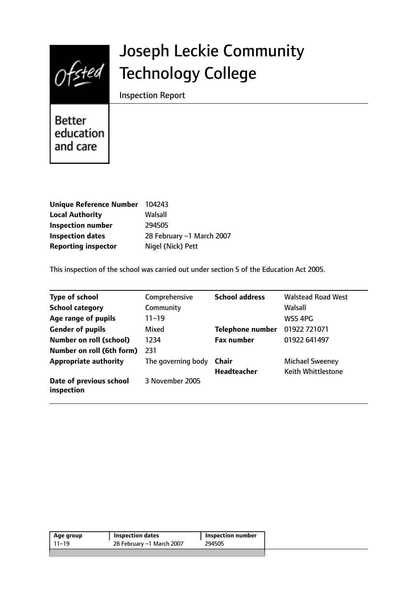

# Joseph Leckie Community Technology College

Inspection Report

Better education and care

| <b>Unique Reference Number</b> | 104243                    |
|--------------------------------|---------------------------|
| <b>Local Authority</b>         | Walsall                   |
| <b>Inspection number</b>       | 294505                    |
| <b>Inspection dates</b>        | 28 February -1 March 2007 |
| <b>Reporting inspector</b>     | Nigel (Nick) Pett         |

This inspection of the school was carried out under section 5 of the Education Act 2005.

| <b>Type of school</b>                 | Comprehensive      | <b>School address</b>   | <b>Walstead Road West</b> |
|---------------------------------------|--------------------|-------------------------|---------------------------|
| <b>School category</b>                | Community          |                         | Walsall                   |
| Age range of pupils                   | $11 - 19$          |                         | WS5 4PG                   |
| <b>Gender of pupils</b>               | Mixed              | <b>Telephone number</b> | 01922 721071              |
| <b>Number on roll (school)</b>        | 1234               | <b>Fax number</b>       | 01922 641497              |
| Number on roll (6th form)             | 231                |                         |                           |
| <b>Appropriate authority</b>          | The governing body | Chair                   | <b>Michael Sweeney</b>    |
|                                       |                    | <b>Headteacher</b>      | Keith Whittlestone        |
| Date of previous school<br>inspection | 3 November 2005    |                         |                           |

| Age group | Inspection dates          | Inspection number |
|-----------|---------------------------|-------------------|
| $11 - 19$ | 28 February -1 March 2007 | 294505            |
|           |                           |                   |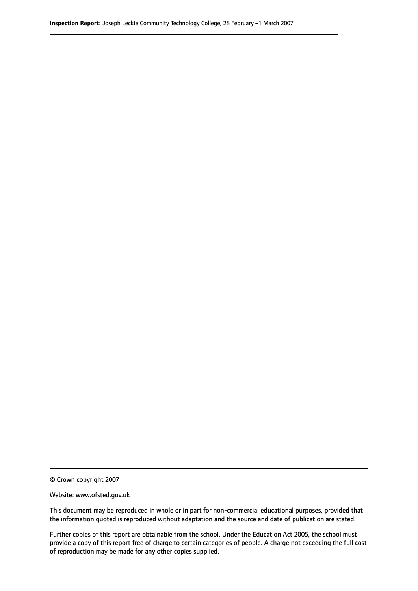© Crown copyright 2007

Website: www.ofsted.gov.uk

This document may be reproduced in whole or in part for non-commercial educational purposes, provided that the information quoted is reproduced without adaptation and the source and date of publication are stated.

Further copies of this report are obtainable from the school. Under the Education Act 2005, the school must provide a copy of this report free of charge to certain categories of people. A charge not exceeding the full cost of reproduction may be made for any other copies supplied.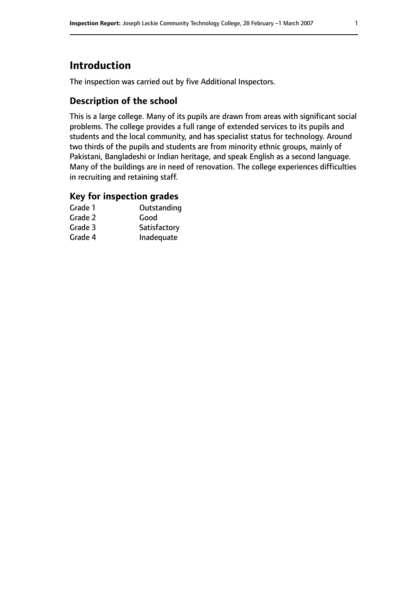# **Introduction**

The inspection was carried out by five Additional Inspectors.

### **Description of the school**

This is a large college. Many of its pupils are drawn from areas with significant social problems. The college provides a full range of extended services to its pupils and students and the local community, and has specialist status for technology. Around two thirds of the pupils and students are from minority ethnic groups, mainly of Pakistani, Bangladeshi or Indian heritage, and speak English as a second language. Many of the buildings are in need of renovation. The college experiences difficulties in recruiting and retaining staff.

### **Key for inspection grades**

| Grade 1 | Outstanding  |
|---------|--------------|
| Grade 2 | Good         |
| Grade 3 | Satisfactory |
| Grade 4 | Inadequate   |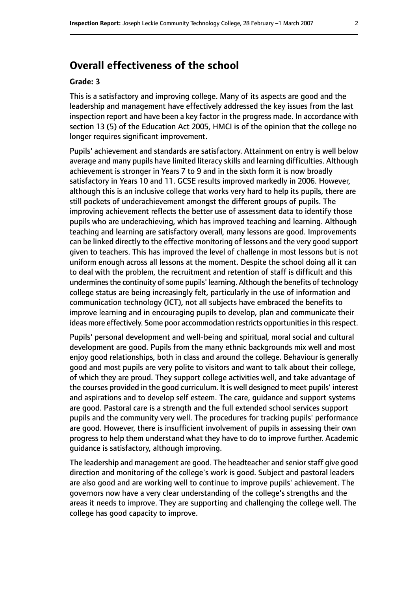# **Overall effectiveness of the school**

#### **Grade: 3**

This is a satisfactory and improving college. Many of its aspects are good and the leadership and management have effectively addressed the key issues from the last inspection report and have been a key factor in the progress made. In accordance with section 13 (5) of the Education Act 2005, HMCI is of the opinion that the college no longer requires significant improvement.

Pupils' achievement and standards are satisfactory. Attainment on entry is well below average and many pupils have limited literacy skills and learning difficulties. Although achievement is stronger in Years 7 to 9 and in the sixth form it is now broadly satisfactory in Years 10 and 11. GCSE results improved markedly in 2006. However, although this is an inclusive college that works very hard to help its pupils, there are still pockets of underachievement amongst the different groups of pupils. The improving achievement reflects the better use of assessment data to identify those pupils who are underachieving, which has improved teaching and learning. Although teaching and learning are satisfactory overall, many lessons are good. Improvements can be linked directly to the effective monitoring of lessons and the very good support given to teachers. This has improved the level of challenge in most lessons but is not uniform enough across all lessons at the moment. Despite the school doing all it can to deal with the problem, the recruitment and retention of staff is difficult and this undermines the continuity of some pupils' learning. Although the benefits of technology college status are being increasingly felt, particularly in the use of information and communication technology (ICT), not all subjects have embraced the benefits to improve learning and in encouraging pupils to develop, plan and communicate their ideas more effectively. Some poor accommodation restricts opportunities in this respect.

Pupils' personal development and well-being and spiritual, moral social and cultural development are good. Pupils from the many ethnic backgrounds mix well and most enjoy good relationships, both in class and around the college. Behaviour is generally good and most pupils are very polite to visitors and want to talk about their college, of which they are proud. They support college activities well, and take advantage of the courses provided in the good curriculum. It is well designed to meet pupils' interest and aspirations and to develop self esteem. The care, guidance and support systems are good. Pastoral care is a strength and the full extended school services support pupils and the community very well. The procedures for tracking pupils' performance are good. However, there is insufficient involvement of pupils in assessing their own progress to help them understand what they have to do to improve further. Academic guidance is satisfactory, although improving.

The leadership and management are good. The headteacher and senior staff give good direction and monitoring of the college's work is good. Subject and pastoral leaders are also good and are working well to continue to improve pupils' achievement. The governors now have a very clear understanding of the college's strengths and the areas it needs to improve. They are supporting and challenging the college well. The college has good capacity to improve.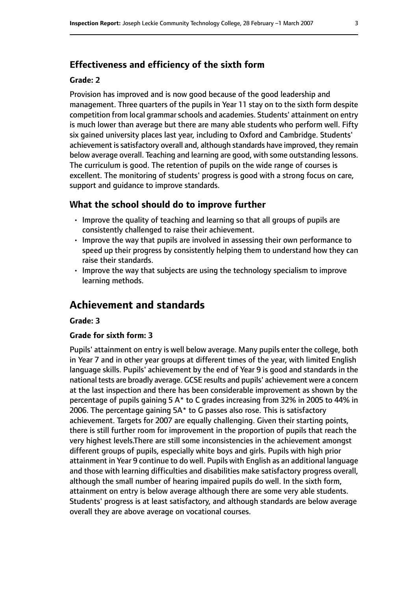### **Effectiveness and efficiency of the sixth form**

#### **Grade: 2**

Provision has improved and is now good because of the good leadership and management. Three quarters of the pupils in Year 11 stay on to the sixth form despite competition from local grammar schools and academies. Students' attainment on entry is much lower than average but there are many able students who perform well. Fifty six gained university places last year, including to Oxford and Cambridge. Students' achievement is satisfactory overall and, although standards have improved, they remain below average overall. Teaching and learning are good, with some outstanding lessons. The curriculum is good. The retention of pupils on the wide range of courses is excellent. The monitoring of students' progress is good with a strong focus on care, support and guidance to improve standards.

### **What the school should do to improve further**

- Improve the quality of teaching and learning so that all groups of pupils are consistently challenged to raise their achievement.
- Improve the way that pupils are involved in assessing their own performance to speed up their progress by consistently helping them to understand how they can raise their standards.
- Improve the way that subjects are using the technology specialism to improve learning methods.

# **Achievement and standards**

#### **Grade: 3**

#### **Grade for sixth form: 3**

Pupils' attainment on entry is well below average. Many pupils enter the college, both in Year 7 and in other year groups at different times of the year, with limited English language skills. Pupils' achievement by the end of Year 9 is good and standards in the national tests are broadly average. GCSE results and pupils' achievement were a concern at the last inspection and there has been considerable improvement as shown by the percentage of pupils gaining 5 A\* to C grades increasing from 32% in 2005 to 44% in 2006. The percentage gaining 5A\* to G passes also rose. This is satisfactory achievement. Targets for 2007 are equally challenging. Given their starting points, there is still further room for improvement in the proportion of pupils that reach the very highest levels.There are still some inconsistencies in the achievement amongst different groups of pupils, especially white boys and girls. Pupils with high prior attainment in Year 9 continue to do well. Pupils with English as an additional language and those with learning difficulties and disabilities make satisfactory progress overall, although the small number of hearing impaired pupils do well. In the sixth form, attainment on entry is below average although there are some very able students. Students' progress is at least satisfactory, and although standards are below average overall they are above average on vocational courses.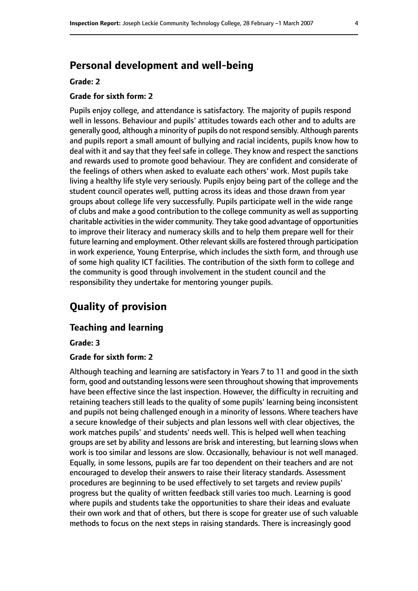# **Personal development and well-being**

#### **Grade: 2**

### **Grade for sixth form: 2**

Pupils enjoy college, and attendance is satisfactory. The majority of pupils respond well in lessons. Behaviour and pupils' attitudes towards each other and to adults are generally good, although a minority of pupils do not respond sensibly. Although parents and pupils report a small amount of bullying and racial incidents, pupils know how to deal with it and say that they feel safe in college. They know and respect the sanctions and rewards used to promote good behaviour. They are confident and considerate of the feelings of others when asked to evaluate each others' work. Most pupils take living a healthy life style very seriously. Pupils enjoy being part of the college and the student council operates well, putting across its ideas and those drawn from year groups about college life very successfully. Pupils participate well in the wide range of clubs and make a good contribution to the college community as well as supporting charitable activities in the wider community. They take good advantage of opportunities to improve their literacy and numeracy skills and to help them prepare well for their future learning and employment. Other relevant skills are fostered through participation in work experience, Young Enterprise, which includes the sixth form, and through use of some high quality ICT facilities. The contribution of the sixth form to college and the community is good through involvement in the student council and the responsibility they undertake for mentoring younger pupils.

# **Quality of provision**

### **Teaching and learning**

**Grade: 3**

#### **Grade for sixth form: 2**

Although teaching and learning are satisfactory in Years 7 to 11 and good in the sixth form, good and outstanding lessons were seen throughout showing that improvements have been effective since the last inspection. However, the difficulty in recruiting and retaining teachers still leads to the quality of some pupils' learning being inconsistent and pupils not being challenged enough in a minority of lessons. Where teachers have a secure knowledge of their subjects and plan lessons well with clear objectives, the work matches pupils' and students' needs well. This is helped well when teaching groups are set by ability and lessons are brisk and interesting, but learning slows when work is too similar and lessons are slow. Occasionally, behaviour is not well managed. Equally, in some lessons, pupils are far too dependent on their teachers and are not encouraged to develop their answers to raise their literacy standards. Assessment procedures are beginning to be used effectively to set targets and review pupils' progress but the quality of written feedback still varies too much. Learning is good where pupils and students take the opportunities to share their ideas and evaluate their own work and that of others, but there is scope for greater use of such valuable methods to focus on the next steps in raising standards. There is increasingly good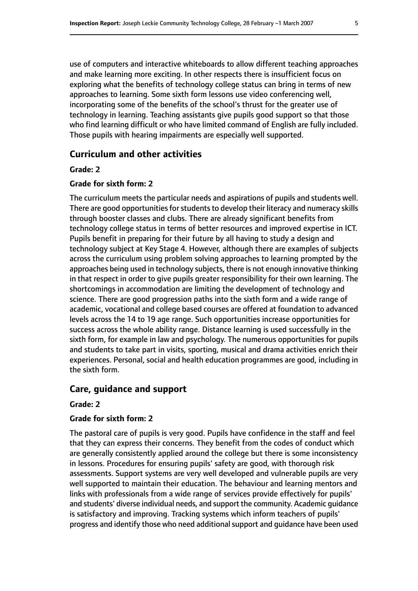use of computers and interactive whiteboards to allow different teaching approaches and make learning more exciting. In other respects there is insufficient focus on exploring what the benefits of technology college status can bring in terms of new approaches to learning. Some sixth form lessons use video conferencing well, incorporating some of the benefits of the school's thrust for the greater use of technology in learning. Teaching assistants give pupils good support so that those who find learning difficult or who have limited command of English are fully included. Those pupils with hearing impairments are especially well supported.

### **Curriculum and other activities**

#### **Grade: 2**

#### **Grade for sixth form: 2**

The curriculum meets the particular needs and aspirations of pupils and students well. There are good opportunities for students to develop their literacy and numeracy skills through booster classes and clubs. There are already significant benefits from technology college status in terms of better resources and improved expertise in ICT. Pupils benefit in preparing for their future by all having to study a design and technology subject at Key Stage 4. However, although there are examples of subjects across the curriculum using problem solving approaches to learning prompted by the approaches being used in technology subjects, there is not enough innovative thinking in that respect in order to give pupils greater responsibility for their own learning. The shortcomings in accommodation are limiting the development of technology and science. There are good progression paths into the sixth form and a wide range of academic, vocational and college based courses are offered at foundation to advanced levels across the 14 to 19 age range. Such opportunities increase opportunities for success across the whole ability range. Distance learning is used successfully in the sixth form, for example in law and psychology. The numerous opportunities for pupils and students to take part in visits, sporting, musical and drama activities enrich their experiences. Personal, social and health education programmes are good, including in the sixth form.

#### **Care, guidance and support**

#### **Grade: 2**

#### **Grade for sixth form: 2**

The pastoral care of pupils is very good. Pupils have confidence in the staff and feel that they can express their concerns. They benefit from the codes of conduct which are generally consistently applied around the college but there is some inconsistency in lessons. Procedures for ensuring pupils' safety are good, with thorough risk assessments. Support systems are very well developed and vulnerable pupils are very well supported to maintain their education. The behaviour and learning mentors and links with professionals from a wide range of services provide effectively for pupils' and students' diverse individual needs, and support the community. Academic guidance is satisfactory and improving. Tracking systems which inform teachers of pupils' progress and identify those who need additional support and guidance have been used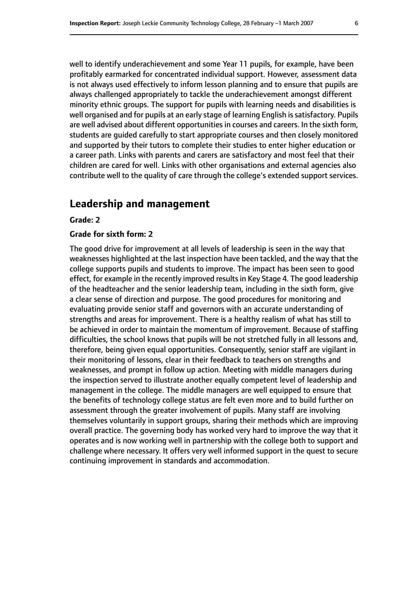well to identify underachievement and some Year 11 pupils, for example, have been profitably earmarked for concentrated individual support. However, assessment data is not always used effectively to inform lesson planning and to ensure that pupils are always challenged appropriately to tackle the underachievement amongst different minority ethnic groups. The support for pupils with learning needs and disabilities is well organised and for pupils at an early stage of learning English is satisfactory. Pupils are well advised about different opportunities in courses and careers. In the sixth form, students are guided carefully to start appropriate courses and then closely monitored and supported by their tutors to complete their studies to enter higher education or a career path. Links with parents and carers are satisfactory and most feel that their children are cared for well. Links with other organisations and external agencies also contribute well to the quality of care through the college's extended support services.

### **Leadership and management**

#### **Grade: 2**

#### **Grade for sixth form: 2**

The good drive for improvement at all levels of leadership is seen in the way that weaknesses highlighted at the last inspection have been tackled, and the way that the college supports pupils and students to improve. The impact has been seen to good effect, for example in the recently improved results in Key Stage 4. The good leadership of the headteacher and the senior leadership team, including in the sixth form, give a clear sense of direction and purpose. The good procedures for monitoring and evaluating provide senior staff and governors with an accurate understanding of strengths and areas for improvement. There is a healthy realism of what has still to be achieved in order to maintain the momentum of improvement. Because of staffing difficulties, the school knows that pupils will be not stretched fully in all lessons and, therefore, being given equal opportunities. Consequently, senior staff are vigilant in their monitoring of lessons, clear in their feedback to teachers on strengths and weaknesses, and prompt in follow up action. Meeting with middle managers during the inspection served to illustrate another equally competent level of leadership and management in the college. The middle managers are well equipped to ensure that the benefits of technology college status are felt even more and to build further on assessment through the greater involvement of pupils. Many staff are involving themselves voluntarily in support groups, sharing their methods which are improving overall practice. The governing body has worked very hard to improve the way that it operates and is now working well in partnership with the college both to support and challenge where necessary. It offers very well informed support in the quest to secure continuing improvement in standards and accommodation.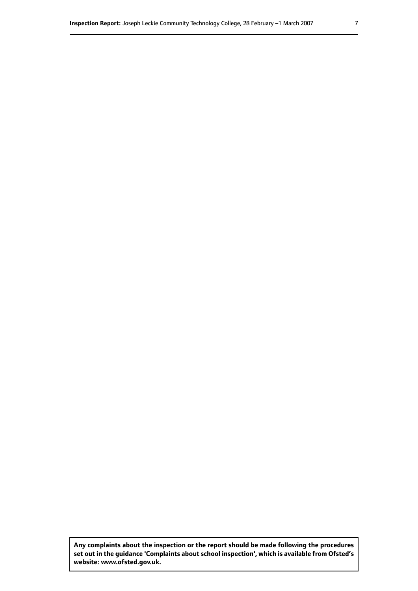**Any complaints about the inspection or the report should be made following the procedures set out inthe guidance 'Complaints about school inspection', whichis available from Ofsted's website: www.ofsted.gov.uk.**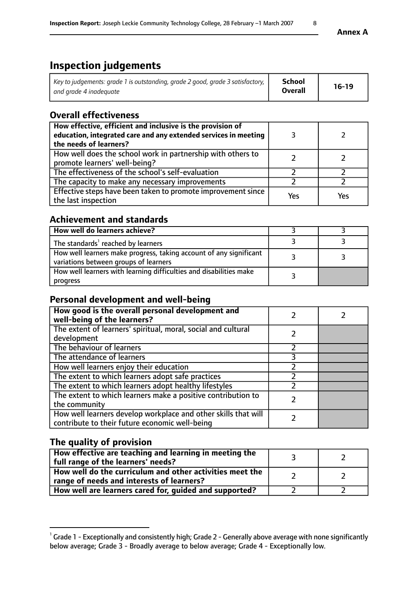# **Inspection judgements**

| Key to judgements: grade 1 is outstanding, grade 2 good, grade 3 satisfactory, $\parallel$ | School         | $16-19$ |
|--------------------------------------------------------------------------------------------|----------------|---------|
| and grade 4 inadeguate                                                                     | <b>Overall</b> |         |

### **Overall effectiveness**

| How effective, efficient and inclusive is the provision of<br>education, integrated care and any extended services in meeting<br>the needs of learners? |     |     |
|---------------------------------------------------------------------------------------------------------------------------------------------------------|-----|-----|
| How well does the school work in partnership with others to<br>promote learners' well-being?                                                            |     |     |
| The effectiveness of the school's self-evaluation                                                                                                       |     |     |
| The capacity to make any necessary improvements                                                                                                         |     |     |
| Effective steps have been taken to promote improvement since<br>the last inspection                                                                     | Yes | Yes |

## **Achievement and standards**

| How well do learners achieve?                                                                               |  |
|-------------------------------------------------------------------------------------------------------------|--|
| The standards <sup>1</sup> reached by learners                                                              |  |
| How well learners make progress, taking account of any significant<br>variations between groups of learners |  |
| How well learners with learning difficulties and disabilities make<br>progress                              |  |

## **Personal development and well-being**

| How good is the overall personal development and<br>well-being of the learners?                                  |  |
|------------------------------------------------------------------------------------------------------------------|--|
| The extent of learners' spiritual, moral, social and cultural<br>development                                     |  |
| The behaviour of learners                                                                                        |  |
| The attendance of learners                                                                                       |  |
| How well learners enjoy their education                                                                          |  |
| The extent to which learners adopt safe practices                                                                |  |
| The extent to which learners adopt healthy lifestyles                                                            |  |
| The extent to which learners make a positive contribution to<br>the community                                    |  |
| How well learners develop workplace and other skills that will<br>contribute to their future economic well-being |  |

## **The quality of provision**

| How effective are teaching and learning in meeting the<br>full range of the learners' needs?          |  |
|-------------------------------------------------------------------------------------------------------|--|
| How well do the curriculum and other activities meet the<br>range of needs and interests of learners? |  |
| How well are learners cared for, guided and supported?                                                |  |

 $^1$  Grade 1 - Exceptionally and consistently high; Grade 2 - Generally above average with none significantly below average; Grade 3 - Broadly average to below average; Grade 4 - Exceptionally low.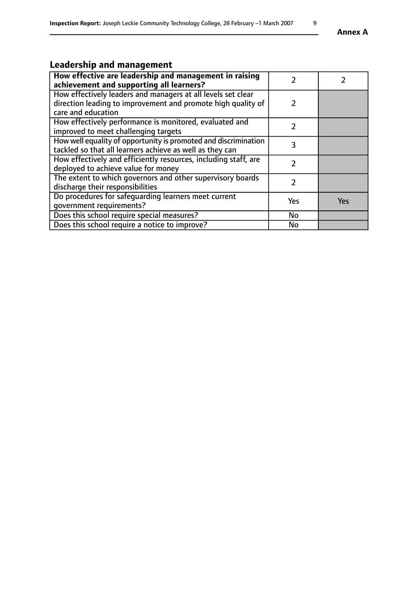#### **Annex A**

# **Leadership and management**

| How effective are leadership and management in raising<br>achievement and supporting all learners?                                                 |               |     |
|----------------------------------------------------------------------------------------------------------------------------------------------------|---------------|-----|
| How effectively leaders and managers at all levels set clear<br>direction leading to improvement and promote high quality of<br>care and education | $\mathcal{L}$ |     |
| How effectively performance is monitored, evaluated and<br>improved to meet challenging targets                                                    |               |     |
| How well equality of opportunity is promoted and discrimination<br>tackled so that all learners achieve as well as they can                        | 3             |     |
| How effectively and efficiently resources, including staff, are<br>deployed to achieve value for money                                             |               |     |
| The extent to which governors and other supervisory boards<br>discharge their responsibilities                                                     |               |     |
| Do procedures for safequarding learners meet current<br>qovernment requirements?                                                                   | Yes           | Yes |
| Does this school require special measures?                                                                                                         | No            |     |
| Does this school require a notice to improve?                                                                                                      | No            |     |